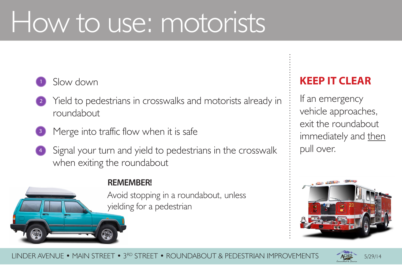5/29/14



LINDER AVENUE • MAIN STREET • 3RD STREET • ROUNDABOUT & PEDESTRIAN IMPROVEMENTS

# How to use: motorists







- Yield to pedestrians in crosswalks and motorists already in
	-
- Signal your turn and yield to pedestrians in the crosswalk
	- Avoid stopping in a roundabout, unless yielding for a pedestrian



4

### **REMEMBER!**

# **KEEP IT CLEAR**

If an emergency vehicle approaches, exit the roundabout immediately and then pull over.

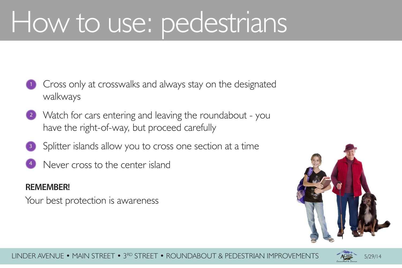



#### LINDER AVENUE • MAIN STREET • 3RD STREET • ROUNDABOUT & PEDESTRIAN IMPROVEMENTS







# How to use: pedestrians

- **1** Cross only at crosswalks and always stay on the designated walkways
- 2 Watch for cars entering and leaving the roundabout you have the right-of-way, but proceed carefully
- 3 Splitter islands allow you to cross one section at a time Never cross to the center island
- 

### **REMEMBER!**

Your best protection is awareness